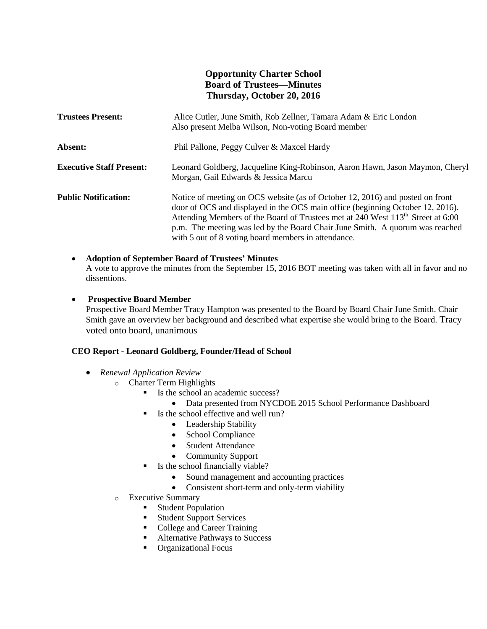# **Opportunity Charter School Board of Trustees—Minutes Thursday, October 20, 2016**

| <b>Trustees Present:</b>        | Alice Cutler, June Smith, Rob Zellner, Tamara Adam & Eric London<br>Also present Melba Wilson, Non-voting Board member                                                                                                                                                                                                                                                                                |
|---------------------------------|-------------------------------------------------------------------------------------------------------------------------------------------------------------------------------------------------------------------------------------------------------------------------------------------------------------------------------------------------------------------------------------------------------|
| <b>Absent:</b>                  | Phil Pallone, Peggy Culver & Maxcel Hardy                                                                                                                                                                                                                                                                                                                                                             |
| <b>Executive Staff Present:</b> | Leonard Goldberg, Jacqueline King-Robinson, Aaron Hawn, Jason Maymon, Cheryl<br>Morgan, Gail Edwards & Jessica Marcu                                                                                                                                                                                                                                                                                  |
| <b>Public Notification:</b>     | Notice of meeting on OCS website (as of October 12, 2016) and posted on front<br>door of OCS and displayed in the OCS main office (beginning October 12, 2016).<br>Attending Members of the Board of Trustees met at 240 West 113 <sup>th</sup> Street at 6:00<br>p.m. The meeting was led by the Board Chair June Smith. A quorum was reached<br>with 5 out of 8 voting board members in attendance. |

 **Adoption of September Board of Trustees' Minutes** A vote to approve the minutes from the September 15, 2016 BOT meeting was taken with all in favor and no dissentions.

### **Prospective Board Member**

Prospective Board Member Tracy Hampton was presented to the Board by Board Chair June Smith. Chair Smith gave an overview her background and described what expertise she would bring to the Board. Tracy voted onto board, unanimous

## **CEO Report - Leonard Goldberg, Founder/Head of School**

- *Renewal Application Review*
	- o Charter Term Highlights
		- Is the school an academic success?
			- Data presented from NYCDOE 2015 School Performance Dashboard
			- Is the school effective and well run?
				- Leadership Stability
				- School Compliance
				- Student Attendance
				- Community Support
		- Is the school financially viable?
			- Sound management and accounting practices
			- Consistent short-term and only-term viability
	- o Executive Summary
		- **Student Population**
		- **Student Support Services**
		- College and Career Training
		- Alternative Pathways to Success
		- **•** Organizational Focus